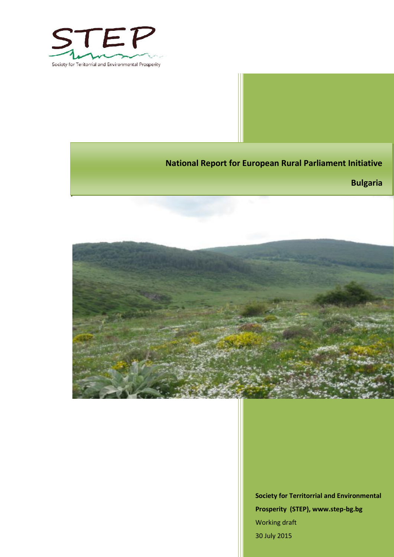

**National Report for European Rural Parliament Initiative**

**Bulgaria**



**Society for Territorrial and Environmental Prosperity (STEP), www.step-bg.bg** Working draft 30 July 2015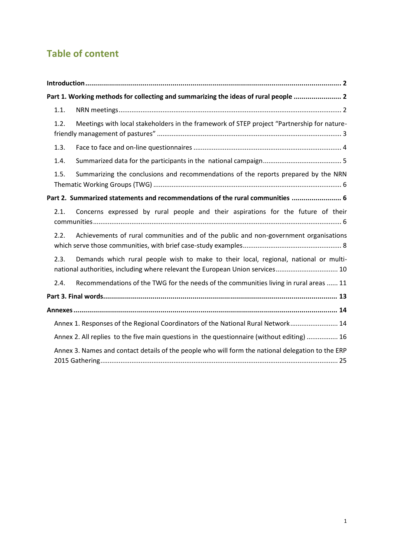# **Table of content**

|      | Part 1. Working methods for collecting and summarizing the ideas of rural people  2                                                                                   |
|------|-----------------------------------------------------------------------------------------------------------------------------------------------------------------------|
| 1.1. |                                                                                                                                                                       |
| 1.2. | Meetings with local stakeholders in the framework of STEP project "Partnership for nature-                                                                            |
| 1.3. |                                                                                                                                                                       |
| 1.4. |                                                                                                                                                                       |
| 1.5. | Summarizing the conclusions and recommendations of the reports prepared by the NRN                                                                                    |
|      | Part 2. Summarized statements and recommendations of the rural communities  6                                                                                         |
| 2.1. | Concerns expressed by rural people and their aspirations for the future of their                                                                                      |
| 2.2. | Achievements of rural communities and of the public and non-government organisations                                                                                  |
| 2.3. | Demands which rural people wish to make to their local, regional, national or multi-<br>national authorities, including where relevant the European Union services 10 |
| 2.4. | Recommendations of the TWG for the needs of the communities living in rural areas  11                                                                                 |
|      |                                                                                                                                                                       |
|      |                                                                                                                                                                       |
|      | Annex 1. Responses of the Regional Coordinators of the National Rural Network 14                                                                                      |
|      | Annex 2. All replies to the five main questions in the questionnaire (without editing)  16                                                                            |
|      | Annex 3. Names and contact details of the people who will form the national delegation to the ERP                                                                     |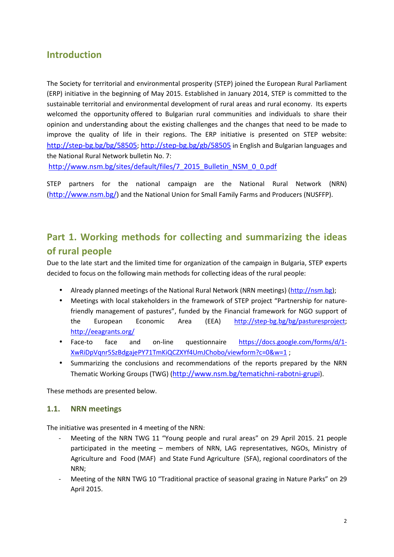## **Introduction**

The Society for territorial and environmental prosperity (STEP) joined the European Rural Parliament (ERP) initiative in the beginning of May 2015. Established in January 2014, STEP is committed to the sustainable territorial and environmental development of rural areas and rural economy. Its experts welcomed the opportunity offered to Bulgarian rural communities and individuals to share their opinion and understanding about the existing challenges and the changes that need to be made to improve the quality of life in their regions. The ERP initiative is presented on STEP website: http://step-bg.bg/bg/58505; http://step-bg.bg/gb/58505 in English and Bulgarian languages and the National Rural Network bulletin No. 7:

http://www.nsm.bg/sites/default/files/7\_2015\_Bulletin\_NSM\_0\_0.pdf

STEP partners for the national campaign are the National Rural Network (NRN) (http://www.nsm.bg/) and the National Union for Small Family Farms and Producers (NUSFFP).

# **Part 1. Working methods for collecting and summarizing the ideas of rural people**

Due to the late start and the limited time for organization of the campaign in Bulgaria, STEP experts decided to focus on the following main methods for collecting ideas of the rural people:

- Already planned meetings of the National Rural Network (NRN meetings) (http://nsm.bg);
- Meetings with local stakeholders in the framework of STEP project "Partnership for naturefriendly management of pastures", funded by the Financial framework for NGO support of the European Economic Area (EEA) http://step-bg.bg/bg/pasturesproject; http://eeagrants.org/
- Face-to face and on-line questionnaire https://docs.google.com/forms/d/1-XwRiDpVqnr5SzBdgajePY71TmKiQCZXYf4UmJChobo/viewform?c=0&w=1 ;
- Summarizing the conclusions and recommendations of the reports prepared by the NRN Thematic Working Groups (TWG) (http://www.nsm.bg/tematichni-rabotni-grupi).

These methods are presented below.

### **1.1. NRN meetings**

The initiative was presented in 4 meeting of the NRN:

- Meeting of the NRN TWG 11 "Young people and rural areas" on 29 April 2015. 21 people participated in the meeting – members of NRN, LAG representatives, NGOs, Ministry of Agriculture and Food (MAF) and State Fund Agriculture (SFA), regional coordinators of the NRN;
- Meeting of the NRN TWG 10 "Traditional practice of seasonal grazing in Nature Parks" on 29 April 2015.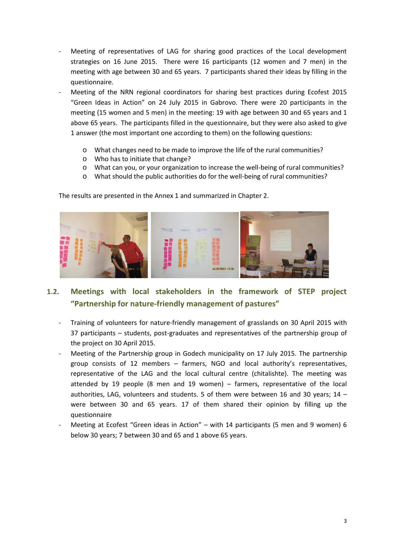- Meeting of representatives of LAG for sharing good practices of the Local development strategies on 16 June 2015. There were 16 participants (12 women and 7 men) in the meeting with age between 30 and 65 years. 7 participants shared their ideas by filling in the questionnaire.
- Meeting of the NRN regional coordinators for sharing best practices during Ecofest 2015 "Green Ideas in Action" on 24 July 2015 in Gabrovo. There were 20 participants in the meeting (15 women and 5 men) in the meeting: 19 with age between 30 and 65 years and 1 above 65 years. The participants filled in the questionnaire, but they were also asked to give 1 answer (the most important one according to them) on the following questions:
	- o What changes need to be made to improve the life of the rural communities?
	- o Who has to initiate that change?
	- o What can you, or your organization to increase the well-being of rural communities?
	- o What should the public authorities do for the well-being of rural communities?

The results are presented in the Annex 1 and summarized in Chapter 2.



### **1.2. Meetings with local stakeholders in the framework of STEP project "Partnership for nature-friendly management of pastures"**

- Training of volunteers for nature-friendly management of grasslands on 30 April 2015 with 37 participants – students, post-graduates and representatives of the partnership group of the project on 30 April 2015.
- Meeting of the Partnership group in Godech municipality on 17 July 2015. The partnership group consists of 12 members – farmers, NGO and local authority's representatives, representative of the LAG and the local cultural centre (chitalishte). The meeting was attended by 19 people (8 men and 19 women) – farmers, representative of the local authorities, LAG, volunteers and students. 5 of them were between 16 and 30 years; 14 – were between 30 and 65 years. 17 of them shared their opinion by filling up the questionnaire
- Meeting at Ecofest "Green ideas in Action" with 14 participants (5 men and 9 women) 6 below 30 years; 7 between 30 and 65 and 1 above 65 years.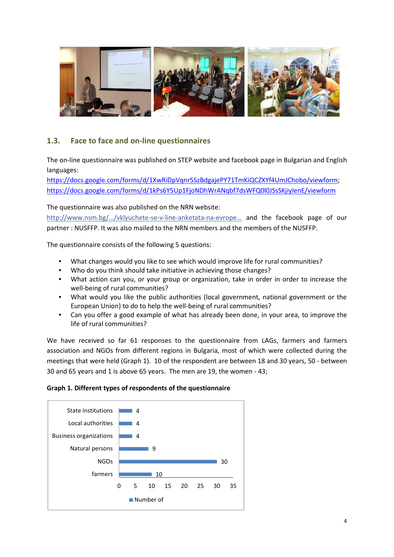

### **1.3. Face to face and on-line questionnaires**

The on-line questionnaire was published on STEP website and facebook page in Bulgarian and English languages:

https://docs.google.com/forms/d/1XwRiDpVqnr5SzBdgajePY71TmKiQCZXYf4UmJChobo/viewform; https://docs.google.com/forms/d/1kPs6Y5Up1FjoNDhWrANqbf7dsWFQ0l0JSsSKjiyIenE/viewform

The questionnaire was also published on the NRN website:

http://www.nsm.bg/…/vklyuchete-se-v-line-anketata-na-evrope… and the facebook page of our partner : NUSFFP. It was also mailed to the NRN members and the members of the NUSFFP.

The questionnaire consists of the following 5 questions:

- What changes would you like to see which would improve life for rural communities?
- Who do you think should take initiative in achieving those changes?
- What action can you, or your group or organization, take in order in order to increase the well-being of rural communities?
- What would you like the public authorities (local government, national government or the European Union) to do to help the well-being of rural communities?
- Can you offer a good example of what has already been done, in your area, to improve the life of rural communities?

We have received so far 61 responses to the questionnaire from LAGs, farmers and farmers association and NGOs from different regions in Bulgaria, most of which were collected during the meetings that were held (Graph 1). 10 of the respondent are between 18 and 30 years, 50 - between 30 and 65 years and 1 is above 65 years. The men are 19, the women - 43;

#### **Graph 1. Different types of respondents of the questionnaire**

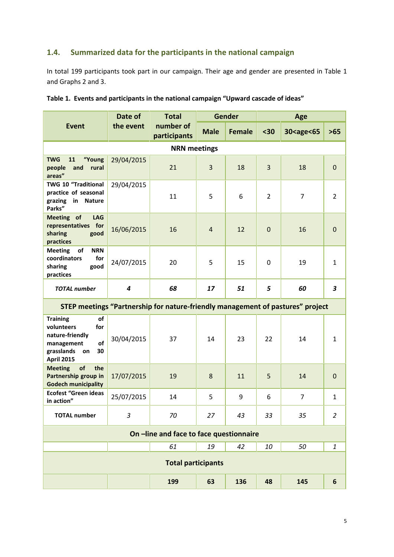### **1.4. Summarized data for the participants in the national campaign**

In total 199 participants took part in our campaign. Their age and gender are presented in Table 1 and Graphs 2 and 3.

|                                                                                                                                  | Date of<br>the event | <b>Total</b><br>number of<br>participants | <b>Gender</b>  |               | Age            |                                                                           |                  |  |  |
|----------------------------------------------------------------------------------------------------------------------------------|----------------------|-------------------------------------------|----------------|---------------|----------------|---------------------------------------------------------------------------|------------------|--|--|
| <b>Event</b>                                                                                                                     |                      |                                           | <b>Male</b>    | <b>Female</b> | $30$           | 30 <age<65< th=""><th><math display="inline">&gt;65</math></th></age<65<> | $>65$            |  |  |
| <b>NRN</b> meetings                                                                                                              |                      |                                           |                |               |                |                                                                           |                  |  |  |
| <b>TWG</b><br>"Young<br>11<br>and<br>rural<br>people<br>areas"                                                                   | 29/04/2015           | 21                                        | 3              | 18            | $\overline{3}$ | 18                                                                        | $\mathbf 0$      |  |  |
| <b>TWG 10 "Traditional</b><br>practice of seasonal<br>grazing<br>in Nature<br>Parks"                                             | 29/04/2015           | 11                                        | 5              | 6             | $\overline{2}$ | $\overline{7}$                                                            | $\overline{2}$   |  |  |
| Meeting of<br><b>LAG</b><br>representatives for<br>sharing<br>good<br>practices                                                  | 16/06/2015           | 16                                        | $\overline{4}$ | 12            | $\mathbf 0$    | 16                                                                        | $\mathbf 0$      |  |  |
| <b>NRN</b><br><b>Meeting</b><br>of<br>coordinators<br>for<br>sharing<br>good<br>practices                                        | 24/07/2015           | 20                                        | 5              | 15            | $\mathbf 0$    | 19                                                                        | $\mathbf{1}$     |  |  |
| <b>TOTAL</b> number                                                                                                              | $\boldsymbol{4}$     | 68                                        | 17             | 51            | 5              | 60                                                                        | $\boldsymbol{3}$ |  |  |
| STEP meetings "Partnership for nature-friendly management of pastures" project                                                   |                      |                                           |                |               |                |                                                                           |                  |  |  |
| <b>Training</b><br>of<br>volunteers<br>for<br>nature-friendly<br>of<br>management<br>grasslands<br>30<br>on<br><b>April 2015</b> | 30/04/2015           | 37                                        | 14             | 23            | 22             | 14                                                                        | $\mathbf{1}$     |  |  |
| of<br>the<br><b>Meeting</b><br>Partnership group in<br><b>Godech municipality</b>                                                | 17/07/2015           | 19                                        | 8              | 11            | 5              | 14                                                                        | $\mathbf 0$      |  |  |
| <b>Ecofest "Green ideas</b><br>in action"                                                                                        | 25/07/2015           | 14                                        | 5              | 9             | 6              | $\overline{7}$                                                            | $\mathbf{1}$     |  |  |
| <b>TOTAL number</b>                                                                                                              | $\overline{3}$       | 70                                        | 27             | 43            | 33             | 35                                                                        | $\overline{2}$   |  |  |
| On -line and face to face questionnaire                                                                                          |                      |                                           |                |               |                |                                                                           |                  |  |  |
|                                                                                                                                  |                      | 61                                        | 19             | 42            | 10             | 50                                                                        | $\mathbf{1}$     |  |  |
| <b>Total participants</b>                                                                                                        |                      |                                           |                |               |                |                                                                           |                  |  |  |
|                                                                                                                                  |                      | 199                                       | 63             | 136           | 48             | 145                                                                       | 6                |  |  |

### **Table 1. Events and participants in the national campaign "Upward cascade of ideas"**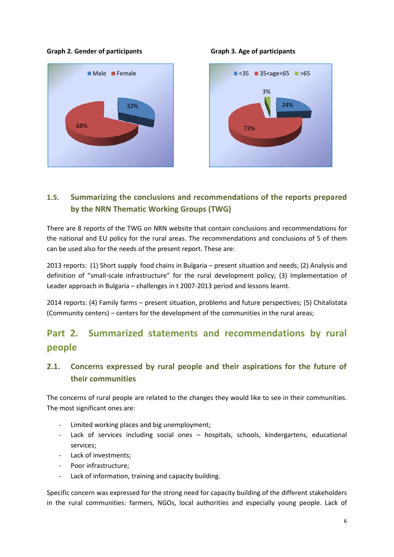#### **Graph 2. Gender of participants Graph 3. Age of participants**





### **1.5. Summarizing the conclusions and recommendations of the reports prepared by the NRN Thematic Working Groups (TWG)**

There are 8 reports of the TWG on NRN website that contain conclusions and recommendations for the national and EU policy for the rural areas. The recommendations and conclusions of 5 of them can be used also for the needs of the present report. These are:

2013 reports: (1) Short supply food chains in Bulgaria – present situation and needs; (2) Analysis and definition of "small-scale infrastructure" for the rural development policy; (3) Implementation of Leader approach in Bulgaria – challenges in t 2007-2013 period and lessons learnt.

2014 reports: (4) Family farms – present situation, problems and future perspectives; (5) Chitalistata (Community centers) – centers for the development of the communities in the rural areas;

# **Part 2. Summarized statements and recommendations by rural people**

## **2.1. Concerns expressed by rural people and their aspirations for the future of their communities**

The concerns of rural people are related to the changes they would like to see in their communities. The most significant ones are:

- Limited working places and big unemployment;
- Lack of services including social ones hospitals, schools, kindergartens, educational services;
- Lack of investments;
- Poor infrastructure;
- Lack of information, training and capacity building.

Specific concern was expressed for the strong need for capacity building of the different stakeholders in the rural communities: farmers, NGOs, local authorities and especially young people. Lack of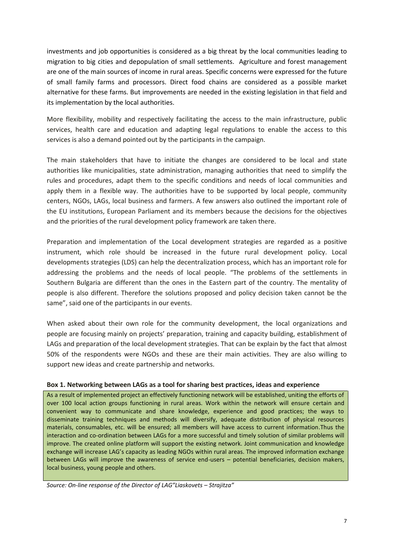investments and job opportunities is considered as a big threat by the local communities leading to migration to big cities and depopulation of small settlements. Agriculture and forest management are one of the main sources of income in rural areas. Specific concerns were expressed for the future of small family farms and processors. Direct food chains are considered as a possible market alternative for these farms. But improvements are needed in the existing legislation in that field and its implementation by the local authorities.

More flexibility, mobility and respectively facilitating the access to the main infrastructure, public services, health care and education and adapting legal regulations to enable the access to this services is also a demand pointed out by the participants in the campaign.

The main stakeholders that have to initiate the changes are considered to be local and state authorities like municipalities, state administration, managing authorities that need to simplify the rules and procedures, adapt them to the specific conditions and needs of local communities and apply them in a flexible way. The authorities have to be supported by local people, community centers, NGOs, LAGs, local business and farmers. A few answers also outlined the important role of the EU institutions, European Parliament and its members because the decisions for the objectives and the priorities of the rural development policy framework are taken there.

Preparation and implementation of the Local development strategies are regarded as a positive instrument, which role should be increased in the future rural development policy. Local developments strategies (LDS) can help the decentralization process, which has an important role for addressing the problems and the needs of local people. "The problems of the settlements in Southern Bulgaria are different than the ones in the Eastern part of the country. The mentality of people is also different. Therefore the solutions proposed and policy decision taken cannot be the same", said one of the participants in our events.

When asked about their own role for the community development, the local organizations and people are focusing mainly on projects' preparation, training and capacity building, establishment of LAGs and preparation of the local development strategies. That can be explain by the fact that almost 50% of the respondents were NGOs and these are their main activities. They are also willing to support new ideas and create partnership and networks.

#### **Box 1. Networking between LAGs as a tool for sharing best practices, ideas and experience**

As a result of implemented project an effectively functioning network will be established, uniting the efforts of over 100 local action groups functioning in rural areas. Work within the network will ensure certain and convenient way to communicate and share knowledge, experience and good practices; the ways to disseminate training techniques and methods will diversify, adequate distribution of physical resources materials, consumables, etc. will be ensured; all members will have access to current information.Thus the interaction and co-ordination between LAGs for a more successful and timely solution of similar problems will improve. The created online platform will support the existing network. Joint communication and knowledge exchange will increase LAG's capacity as leading NGOs within rural areas. The improved information exchange between LAGs will improve the awareness of service end-users – potential beneficiaries, decision makers, local business, young people and others.

*Source: On-line response of the Director of LAG"Liaskovets – Strajitza"*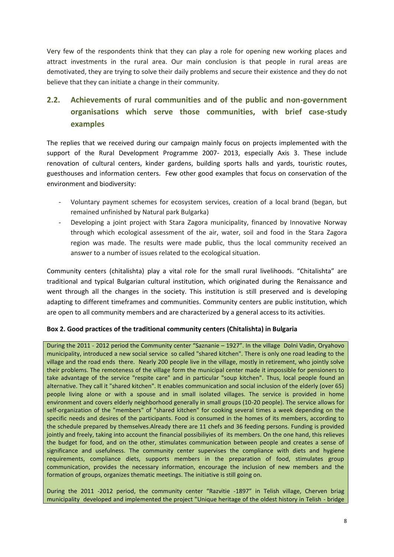Very few of the respondents think that they can play a role for opening new working places and attract investments in the rural area. Our main conclusion is that people in rural areas are demotivated, they are trying to solve their daily problems and secure their existence and they do not believe that they can initiate a change in their community.

## **2.2. Achievements of rural communities and of the public and non-government organisations which serve those communities, with brief case-study examples**

The replies that we received during our campaign mainly focus on projects implemented with the support of the Rural Development Programme 2007- 2013, especially Axis 3. These include renovation of cultural centers, kinder gardens, building sports halls and yards, touristic routes, guesthouses and information centers. Few other good examples that focus on conservation of the environment and biodiversity:

- Voluntary payment schemes for ecosystem services, creation of a local brand (began, but remained unfinished by Natural park Bulgarka)
- Developing a joint project with Stara Zagora municipality, financed by Innovative Norway through which ecological assessment of the air, water, soil and food in the Stara Zagora region was made. The results were made public, thus the local community received an answer to a number of issues related to the ecological situation.

Community centers (chitalishta) play a vital role for the small rural livelihoods. "Chitalishta" are traditional and typical Bulgarian cultural institution, which originated during the Renaissance and went through all the changes in the society. This institution is still preserved and is developing adapting to different timeframes and communities. Community centers are public institution, which are open to all community members and are characterized by a general access to its activities.

### **Box 2. Good practices of the traditional community centers (Chitalishta) in Bulgaria**

During the 2011 - 2012 period the Community center "Saznanie – 1927". In the village Dolni Vadin, Oryahovo municipality, introduced a new social service so called "shared kitchen". There is only one road leading to the village and the road ends there. Nearly 200 people live in the village, mostly in retirement, who jointly solve their problems. The remoteness of the village form the municipal center made it impossible for pensioners to take advantage of the service "respite care" and in particular "soup kitchen". Thus, local people found an alternative. They call it "shared kitchen". It enables communication and social inclusion of the elderly (over 65) people living alone or with a spouse and in small isolated villages. The service is provided in home environment and covers elderly neighborhood generally in small groups (10-20 people). The service allows for self-organization of the "members" of "shared kitchen" for cooking several times a week depending on the specific needs and desires of the participants. Food is consumed in the homes of its members, according to the schedule prepared by themselves.Already there are 11 chefs and 36 feeding persons. Funding is provided jointly and freely, taking into account the financial possibiliyies of its members. On the one hand, this relieves the budget for food, and on the other, stimulates communication between people and creates a sense of significance and usefulness. The community center supervises the compliance with diets and hygiene requirements, compliance diets, supports members in the preparation of food, stimulates group communication, provides the necessary information, encourage the inclusion of new members and the formation of groups, organizes thematic meetings. The initiative is still going on.

During the 2011 -2012 period, the community center "Razvitie -1897" in Telish village, Cherven briag municipality developed and implemented the project "Unique heritage of the oldest history in Telish - bridge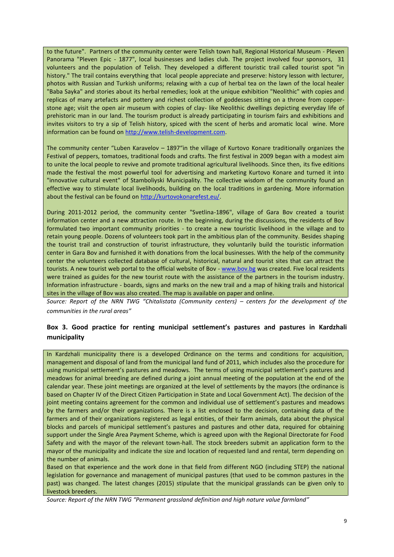to the future". Partners of the community center were Telish town hall, Regional Historical Museum - Pleven Panorama "Pleven Epic - 1877", local businesses and ladies club. The project involved four sponsors, 31 volunteers and the population of Telish. They developed a different touristic trail called tourist spot "in history." The trail contains everything that local people appreciate and preserve: history lesson with lecturer, photos with Russian and Turkish uniforms; relaxing with a cup of herbal tea on the lawn of the local healer "Baba Sayka" and stories about its herbal remedies; look at the unique exhibition "Neolithic" with copies and replicas of many artefacts and pottery and richest collection of goddesses sitting on a throne from copper stone age; visit the open air museum with copies of clay- like Neolithic dwellings depicting everyday life of prehistoric man in our land. The tourism product is already participating in tourism fairs and exhibitions and invites visitors to try a sip of Telish history, spiced with the scent of herbs and aromatic local wine. More information can be found on http://www.telish-development.com.

The community center "Luben Karavelov – 1897"in the village of Kurtovo Konare traditionally organizes the Festival of peppers, tomatoes, traditional foods and crafts. The first festival in 2009 began with a modest aim to unite the local people to revive and promote traditional agricultural livelihoods. Since then, its five editions made the festival the most powerful tool for advertising and marketing Kurtovo Konare and turned it into "innovative cultural event" of Stamboliyski Municipality. The collective wisdom of the community found an effective way to stimulate local livelihoods, building on the local traditions in gardening. More information about the festival can be found on http://kurtovokonarefest.eu/.

During 2011-2012 period, the community center "Svetlina-1896", village of Gara Bov created a tourist information center and a new attraction route. In the beginning, during the discussions, the residents of Bov formulated two important community priorities - to create a new touristic livelihood in the village and to retain young people. Dozens of volunteers took part in the ambitious plan of the community. Besides shaping the tourist trail and construction of tourist infrastructure, they voluntarily build the touristic information center in Gara Bov and furnished it with donations from the local businesses. With the help of the community center the volunteers collected database of cultural, historical, natural and tourist sites that can attract the tourists. A new tourist web portal to the official website of Bov - www.bov.bg was created. Five local residents were trained as guides for the new tourist route with the assistance of the partners in the tourism industry. Information infrastructure - boards, signs and marks on the new trail and a map of hiking trails and historical sites in the village of Bov was also created. The map is available on paper and online.

*Source: Report of the NRN TWG "Chitalistata (Community centers) – centers for the development of the communities in the rural areas"*

### **Box 3. Good practice for renting municipal settlement's pastures and pastures in Kardzhali municipality**

In Kardzhali municipality there is a developed Ordinance on the terms and conditions for acquisition, management and disposal of land from the municipal land fund of 2011, which includes also the procedure for using municipal settlement's pastures and meadows. The terms of using municipal settlement's pastures and meadows for animal breeding are defined during a joint annual meeting of the population at the end of the calendar year. These joint meetings are organized at the level of settlements by the mayors (the ordinance is based on Chapter IV of the Direct Citizen Participation in State and Local Government Act). The decision of the joint meeting contains agreement for the common and individual use of settlement's pastures and meadows by the farmers and/or their organizations. There is a list enclosed to the decision, containing data of the farmers and of their organizations registered as legal entities, of their farm animals, data about the physical blocks and parcels of municipal settlement's pastures and pastures and other data, required for obtaining support under the Single Area Payment Scheme, which is agreed upon with the Regional Directorate for Food Safety and with the mayor of the relevant town-hall. The stock breeders submit an application form to the mayor of the municipality and indicate the size and location of requested land and rental, term depending on the number of animals.

Based on that experience and the work done in that field from different NGO (including STEP) the national legislation for governance and management of municipal pastures (that used to be common pastures in the past) was changed. The latest changes (2015) stipulate that the municipal grasslands can be given only to livestock breeders.

*Source: Report of the NRN TWG "Permanent grassland definition and high nature value farmland"*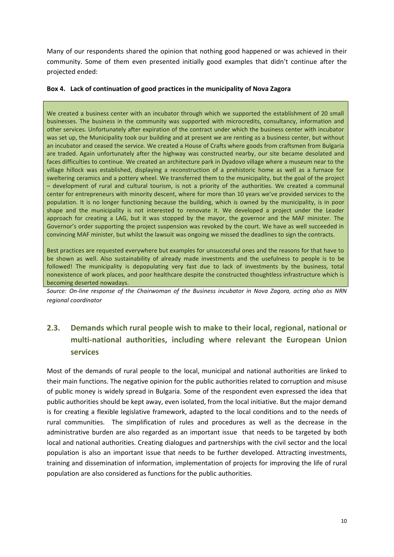Many of our respondents shared the opinion that nothing good happened or was achieved in their community. Some of them even presented initially good examples that didn't continue after the projected ended:

#### **Box 4. Lack of continuation of good practices in the municipality of Nova Zagora**

We created a business center with an incubator through which we supported the establishment of 20 small businesses. The business in the community was supported with microcredits, consultancy, information and other services. Unfortunately after expiration of the contract under which the business center with incubator was set up, the Municipality took our building and at present we are renting as a business center, but without an incubator and ceased the service. We created a House of Crafts where goods from craftsmen from Bulgaria are traded. Again unfortunately after the highway was constructed nearby, our site became desolated and faces difficulties to continue. We created an architecture park in Dyadovo village where a museum near to the village hillock was established, displaying a reconstruction of a prehistoric home as well as a furnace for sweltering ceramics and a pottery wheel. We transferred them to the municipality, but the goal of the project – development of rural and cultural tourism, is not a priority of the authorities. We created a communal center for entrepreneurs with minority descent, where for more than 10 years we've provided services to the population. It is no longer functioning because the building, which is owned by the municipality, is in poor shape and the municipality is not interested to renovate it. We developed a project under the Leader approach for creating a LAG, but it was stopped by the mayor, the governor and the MAF minister. The Governor's order supporting the project suspension was revoked by the court. We have as well succeeded in convincing MAF minister, but whilst the lawsuit was ongoing we missed the deadlines to sign the contracts.

Best practices are requested everywhere but examples for unsuccessful ones and the reasons for that have to be shown as well. Also sustainability of already made investments and the usefulness to people is to be followed! The municipality is depopulating very fast due to lack of investments by the business, total nonexistence of work places, and poor healthcare despite the constructed thoughtless infrastructure which is becoming deserted nowadays.

*Source: On-line response of the Chairwoman of the Business incubator in Nova Zagora, acting also as NRN regional coordinator*

## **2.3. Demands which rural people wish to make to their local, regional, national or multi-national authorities, including where relevant the European Union services**

Most of the demands of rural people to the local, municipal and national authorities are linked to their main functions. The negative opinion for the public authorities related to corruption and misuse of public money is widely spread in Bulgaria. Some of the respondent even expressed the idea that public authorities should be kept away, even isolated, from the local initiative. But the major demand is for creating a flexible legislative framework, adapted to the local conditions and to the needs of rural communities. The simplification of rules and procedures as well as the decrease in the administrative burden are also regarded as an important issue that needs to be targeted by both local and national authorities. Creating dialogues and partnerships with the civil sector and the local population is also an important issue that needs to be further developed. Attracting investments, training and dissemination of information, implementation of projects for improving the life of rural population are also considered as functions for the public authorities.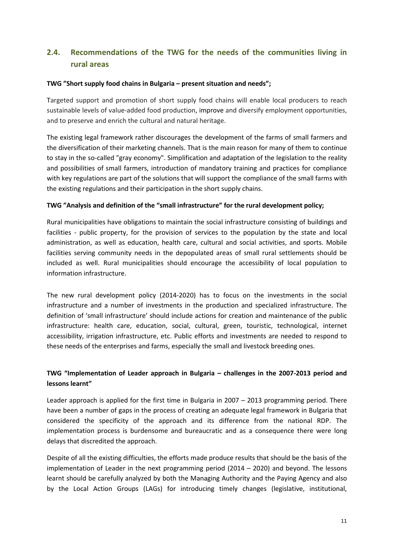## **2.4. Recommendations of the TWG for the needs of the communities living in rural areas**

#### **TWG "Short supply food chains in Bulgaria – present situation and needs";**

Targeted support and promotion of short supply food chains will enable local producers to reach sustainable levels of value-added food production, improve and diversify employment opportunities, and to preserve and enrich the cultural and natural heritage.

The existing legal framework rather discourages the development of the farms of small farmers and the diversification of their marketing channels. That is the main reason for many of them to continue to stay in the so-called "gray economy". Simplification and adaptation of the legislation to the reality and possibilities of small farmers, introduction of mandatory training and practices for compliance with key regulations are part of the solutions that will support the compliance of the small farms with the existing regulations and their participation in the short supply chains.

#### **TWG "Analysis and definition of the "small infrastructure" for the rural development policy;**

Rural municipalities have obligations to maintain the social infrastructure consisting of buildings and facilities - public property, for the provision of services to the population by the state and local administration, as well as education, health care, cultural and social activities, and sports. Mobile facilities serving community needs in the depopulated areas of small rural settlements should be included as well. Rural municipalities should encourage the accessibility of local population to information infrastructure.

The new rural development policy (2014-2020) has to focus on the investments in the social infrastructure and a number of investments in the production and specialized infrastructure. The definition of 'small infrastructure' should include actions for creation and maintenance of the public infrastructure: health care, education, social, cultural, green, touristic, technological, internet accessibility, irrigation infrastructure, etc. Public efforts and investments are needed to respond to these needs of the enterprises and farms, especially the small and livestock breeding ones.

### **TWG "Implementation of Leader approach in Bulgaria – challenges in the 2007-2013 period and lessons learnt"**

Leader approach is applied for the first time in Bulgaria in 2007 – 2013 programming period. There have been a number of gaps in the process of creating an adequate legal framework in Bulgaria that considered the specificity of the approach and its difference from the national RDP. The implementation process is burdensome and bureaucratic and as a consequence there were long delays that discredited the approach.

Despite of all the existing difficulties, the efforts made produce results that should be the basis of the implementation of Leader in the next programming period (2014 – 2020) and beyond. The lessons learnt should be carefully analyzed by both the Managing Authority and the Paying Agency and also by the Local Action Groups (LAGs) for introducing timely changes (legislative, institutional,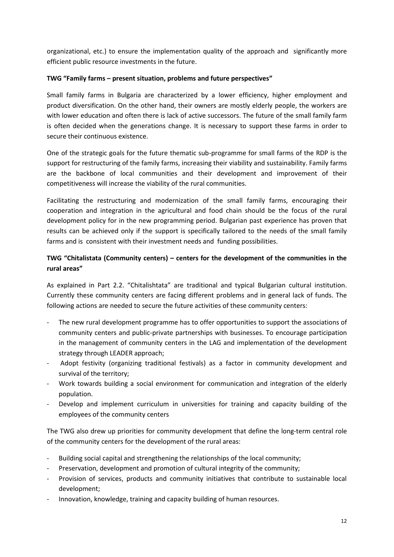organizational, etc.) to ensure the implementation quality of the approach and significantly more efficient public resource investments in the future.

### **TWG "Family farms – present situation, problems and future perspectives"**

Small family farms in Bulgaria are characterized by a lower efficiency, higher employment and product diversification. On the other hand, their owners are mostly elderly people, the workers are with lower education and often there is lack of active successors. The future of the small family farm is often decided when the generations change. It is necessary to support these farms in order to secure their continuous existence.

One of the strategic goals for the future thematic sub-programme for small farms of the RDP is the support for restructuring of the family farms, increasing their viability and sustainability. Family farms are the backbone of local communities and their development and improvement of their competitiveness will increase the viability of the rural communities.

Facilitating the restructuring and modernization of the small family farms, encouraging their cooperation and integration in the agricultural and food chain should be the focus of the rural development policy for in the new programming period. Bulgarian past experience has proven that results can be achieved only if the support is specifically tailored to the needs of the small family farms and is consistent with their investment needs and funding possibilities.

### **TWG "Chitalistata (Community centers) – centers for the development of the communities in the rural areas"**

As explained in Part 2.2. "Chitalishtata" are traditional and typical Bulgarian cultural institution. Currently these community centers are facing different problems and in general lack of funds. The following actions are needed to secure the future activities of these community centers:

- The new rural development programme has to offer opportunities to support the associations of community centers and public-private partnerships with businesses. To encourage participation in the management of community centers in the LAG and implementation of the development strategy through LEADER approach;
- Adopt festivity (organizing traditional festivals) as a factor in community development and survival of the territory;
- Work towards building a social environment for communication and integration of the elderly population.
- Develop and implement curriculum in universities for training and capacity building of the employees of the community centers

The TWG also drew up priorities for community development that define the long-term central role of the community centers for the development of the rural areas:

- Building social capital and strengthening the relationships of the local community;
- Preservation, development and promotion of cultural integrity of the community;
- Provision of services, products and community initiatives that contribute to sustainable local development;
- Innovation, knowledge, training and capacity building of human resources.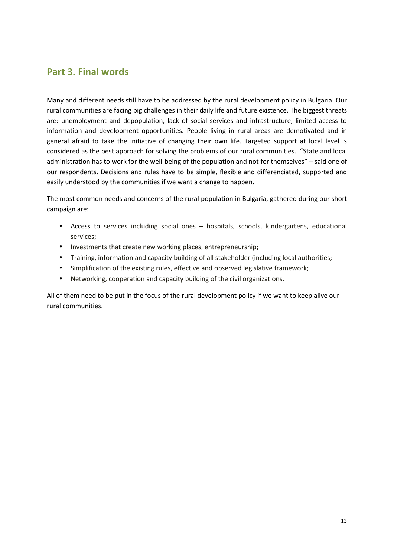## **Part 3. Final words**

Many and different needs still have to be addressed by the rural development policy in Bulgaria. Our rural communities are facing big challenges in their daily life and future existence. The biggest threats are: unemployment and depopulation, lack of social services and infrastructure, limited access to information and development opportunities. People living in rural areas are demotivated and in general afraid to take the initiative of changing their own life. Targeted support at local level is considered as the best approach for solving the problems of our rural communities. "State and local administration has to work for the well-being of the population and not for themselves" – said one of our respondents. Decisions and rules have to be simple, flexible and differenciated, supported and easily understood by the communities if we want a change to happen.

The most common needs and concerns of the rural population in Bulgaria, gathered during our short campaign are:

- Access to services including social ones hospitals, schools, kindergartens, educational services;
- Investments that create new working places, entrepreneurship;
- Training, information and capacity building of all stakeholder (including local authorities;
- Simplification of the existing rules, effective and observed legislative framework;
- Networking, cooperation and capacity building of the civil organizations.

All of them need to be put in the focus of the rural development policy if we want to keep alive our rural communities.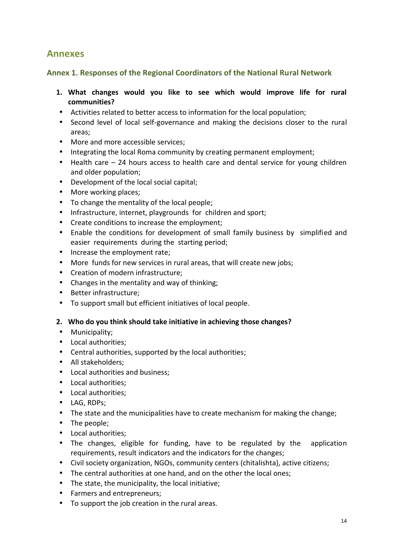## **Annexes**

### **Annex 1. Responses of the Regional Coordinators of the National Rural Network**

- **1. What changes would you like to see which would improve life for rural communities?**
- Activities related to better access to information for the local population;
- Second level of local self-governance and making the decisions closer to the rural areas;
- More and more accessible services:
- Integrating the local Roma community by creating permanent employment;
- Health care 24 hours access to health care and dental service for young children and older population;
- Development of the local social capital;
- More working places;
- To change the mentality of the local people:
- Infrastructure, internet, playgrounds for children and sport;
- Create conditions to increase the employment;
- Enable the conditions for development of small family business by simplified and easier requirements during the starting period;
- Increase the employment rate;
- More funds for new services in rural areas, that will create new jobs;
- Creation of modern infrastructure:
- Changes in the mentality and way of thinking;
- Better infrastructure;
- To support small but efficient initiatives of local people.

### **2. Who do you think should take initiative in achieving those changes?**

- Municipality;
- Local authorities;
- Central authorities, supported by the local authorities;
- All stakeholders;
- Local authorities and business;
- Local authorities:
- Local authorities;
- LAG, RDPs:
- The state and the municipalities have to create mechanism for making the change;
- The people;
- Local authorities:
- The changes, eligible for funding, have to be regulated by the application requirements, result indicators and the indicators for the changes;
- Civil society organization, NGOs, community centers (chitalishta), active citizens;
- The central authorities at one hand, and on the other the local ones;
- The state, the municipality, the local initiative;
- Farmers and entrepreneurs;
- To support the job creation in the rural areas.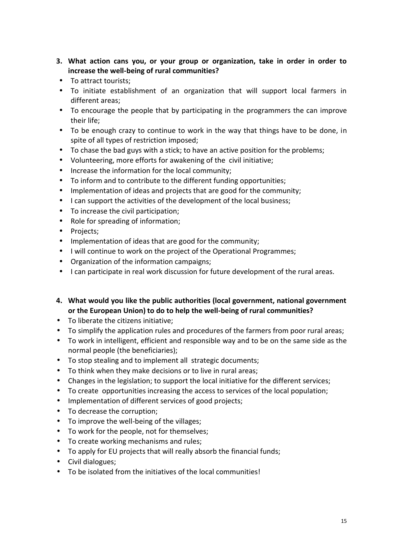- **3. What action cans you, or your group or organization, take in order in order to increase the well-being of rural communities?**
- To attract tourists;
- To initiate establishment of an organization that will support local farmers in different areas;
- To encourage the people that by participating in the programmers the can improve their life;
- To be enough crazy to continue to work in the way that things have to be done, in spite of all types of restriction imposed;
- To chase the bad guys with a stick; to have an active position for the problems;
- Volunteering, more efforts for awakening of the civil initiative;
- Increase the information for the local community;
- To inform and to contribute to the different funding opportunities;
- Implementation of ideas and projects that are good for the community;
- I can support the activities of the development of the local business;
- To increase the civil participation;
- Role for spreading of information;
- Projects;
- Implementation of ideas that are good for the community;
- I will continue to work on the project of the Operational Programmes;
- Organization of the information campaigns;
- I can participate in real work discussion for future development of the rural areas.
- **4. What would you like the public authorities (local government, national government or the European Union) to do to help the well-being of rural communities?**
- To liberate the citizens initiative;
- To simplify the application rules and procedures of the farmers from poor rural areas;
- To work in intelligent, efficient and responsible way and to be on the same side as the normal people (the beneficiaries);
- To stop stealing and to implement all strategic documents;
- To think when they make decisions or to live in rural areas;
- Changes in the legislation; to support the local initiative for the different services;
- To create opportunities increasing the access to services of the local population;
- Implementation of different services of good projects;
- To decrease the corruption;
- To improve the well-being of the villages;
- To work for the people, not for themselves;
- To create working mechanisms and rules;
- To apply for EU projects that will really absorb the financial funds;
- Civil dialogues;
- To be isolated from the initiatives of the local communities!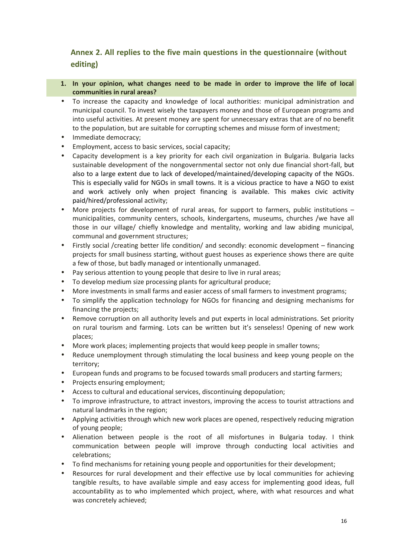### **Annex 2. All replies to the five main questions in the questionnaire (without editing)**

- **1. In your opinion, what changes need to be made in order to improve the life of local communities in rural areas?**
- To increase the capacity and knowledge of local authorities: municipal administration and municipal council. To invest wisely the taxpayers money and those of European programs and into useful activities. At present money are spent for unnecessary extras that are of no benefit to the population, but are suitable for corrupting schemes and misuse form of investment;
- Immediate democracy;
- Employment, access to basic services, social capacity;
- Capacity development is a key priority for each civil organization in Bulgaria. Bulgaria lacks sustainable development of the nongovernmental sector not only due financial short-fall, but also to a large extent due to lack of developed/maintained/developing capacity of the NGOs. This is especially valid for NGOs in small towns. It is a vicious practice to have a NGO to exist and work actively only when project financing is available. This makes civic activity paid/hired/professional activity;
- More projects for development of rural areas, for support to farmers, public institutions municipalities, community centers, schools, kindergartens, museums, churches /we have all those in our village/ chiefly knowledge and mentality, working and law abiding municipal, communal and government structures;
- Firstly social /creating better life condition/ and secondly: economic development financing projects for small business starting, without guest houses as experience shows there are quite a few of those, but badly managed or intentionally unmanaged.
- Pay serious attention to young people that desire to live in rural areas;
- To develop medium size processing plants for agricultural produce;
- More investments in small farms and easier access of small farmers to investment programs;
- To simplify the application technology for NGOs for financing and designing mechanisms for financing the projects;
- Remove corruption on all authority levels and put experts in local administrations. Set priority on rural tourism and farming. Lots can be written but it's senseless! Opening of new work places;
- More work places; implementing projects that would keep people in smaller towns;
- Reduce unemployment through stimulating the local business and keep young people on the territory;
- European funds and programs to be focused towards small producers and starting farmers;
- Projects ensuring employment;
- Access to cultural and educational services, discontinuing depopulation;
- To improve infrastructure, to attract investors, improving the access to tourist attractions and natural landmarks in the region;
- Applying activities through which new work places are opened, respectively reducing migration of young people;
- Alienation between people is the root of all misfortunes in Bulgaria today. I think communication between people will improve through conducting local activities and celebrations;
- To find mechanisms for retaining young people and opportunities for their development;
- Resources for rural development and their effective use by local communities for achieving tangible results, to have available simple and easy access for implementing good ideas, full accountability as to who implemented which project, where, with what resources and what was concretely achieved;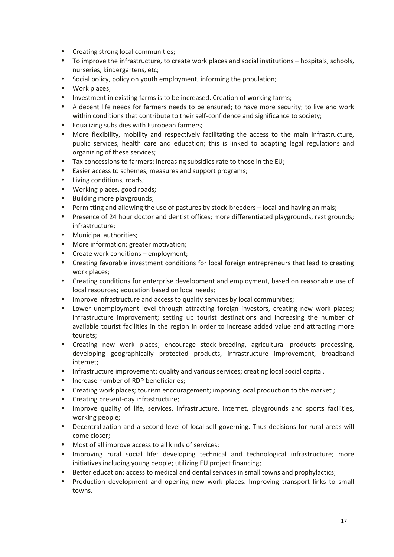- Creating strong local communities;
- To improve the infrastructure, to create work places and social institutions hospitals, schools, nurseries, kindergartens, etc;
- Social policy, policy on youth employment, informing the population;
- Work places;
- Investment in existing farms is to be increased. Creation of working farms;
- A decent life needs for farmers needs to be ensured; to have more security; to live and work within conditions that contribute to their self-confidence and significance to society;
- Equalizing subsidies with European farmers;
- More flexibility, mobility and respectively facilitating the access to the main infrastructure, public services, health care and education; this is linked to adapting legal regulations and organizing of these services;
- Tax concessions to farmers; increasing subsidies rate to those in the EU;
- Easier access to schemes, measures and support programs;
- Living conditions, roads;
- Working places, good roads;
- Building more playgrounds;
- Permitting and allowing the use of pastures by stock-breeders local and having animals;
- Presence of 24 hour doctor and dentist offices; more differentiated playgrounds, rest grounds; infrastructure;
- Municipal authorities;
- More information; greater motivation;
- Create work conditions employment;
- Creating favorable investment conditions for local foreign entrepreneurs that lead to creating work places;
- Creating conditions for enterprise development and employment, based on reasonable use of local resources; education based on local needs;
- Improve infrastructure and access to quality services by local communities;
- Lower unemployment level through attracting foreign investors, creating new work places; infrastructure improvement; setting up tourist destinations and increasing the number of available tourist facilities in the region in order to increase added value and attracting more tourists;
- Creating new work places; encourage stock-breeding, agricultural products processing, developing geographically protected products, infrastructure improvement, broadband internet;
- Infrastructure improvement; quality and various services; creating local social capital.
- Increase number of RDP beneficiaries;
- Creating work places; tourism encouragement; imposing local production to the market ;
- Creating present-day infrastructure;
- Improve quality of life, services, infrastructure, internet, playgrounds and sports facilities, working people;
- Decentralization and a second level of local self-governing. Thus decisions for rural areas will come closer;
- Most of all improve access to all kinds of services;
- Improving rural social life; developing technical and technological infrastructure; more initiatives including young people; utilizing EU project financing;
- Better education; access to medical and dental services in small towns and prophylactics;
- Production development and opening new work places. Improving transport links to small towns.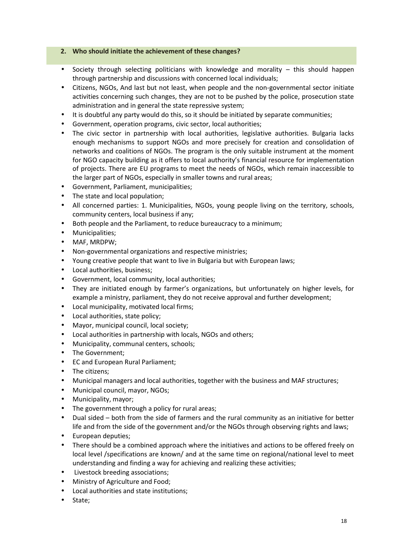#### **2. Who should initiate the achievement of these changes?**

- Society through selecting politicians with knowledge and morality this should happen through partnership and discussions with concerned local individuals;
- Citizens, NGOs, And last but not least, when people and the non-governmental sector initiate activities concerning such changes, they are not to be pushed by the police, prosecution state administration and in general the state repressive system;
- It is doubtful any party would do this, so it should be initiated by separate communities;
- Government, operation programs, civic sector, local authorities;
- The civic sector in partnership with local authorities, legislative authorities. Bulgaria lacks enough mechanisms to support NGOs and more precisely for creation and consolidation of networks and coalitions of NGOs. The program is the only suitable instrument at the moment for NGO capacity building as it offers to local authority's financial resource for implementation of projects. There are EU programs to meet the needs of NGOs, which remain inaccessible to the larger part of NGOs, especially in smaller towns and rural areas;
- Government, Parliament, municipalities;
- The state and local population;
- All concerned parties: 1. Municipalities, NGOs, young people living on the territory, schools, community centers, local business if any;
- Both people and the Parliament, to reduce bureaucracy to a minimum;
- Municipalities;
- MAF, MRDPW;
- Non-governmental organizations and respective ministries;
- Young creative people that want to live in Bulgaria but with European laws;
- Local authorities, business;
- Government, local community, local authorities;
- They are initiated enough by farmer's organizations, but unfortunately on higher levels, for example a ministry, parliament, they do not receive approval and further development;
- Local municipality, motivated local firms;
- Local authorities, state policy;
- Mayor, municipal council, local society;
- Local authorities in partnership with locals, NGOs and others;
- Municipality, communal centers, schools;
- The Government;
- ЕС and European Rural Parliament;
- The citizens;
- Municipal managers and local authorities, together with the business and MAF structures;
- Municipal council, mayor, NGOs;
- Municipality, mayor;
- The government through a policy for rural areas;
- Dual sided both from the side of farmers and the rural community as an initiative for better life and from the side of the government and/or the NGOs through observing rights and laws;
- European deputies;
- There should be a combined approach where the initiatives and actions to be offered freely on local level /specifications are known/ and at the same time on regional/national level to meet understanding and finding a way for achieving and realizing these activities;
- Livestock breeding associations;
- Ministry of Agriculture and Food;
- Local authorities and state institutions;
- State;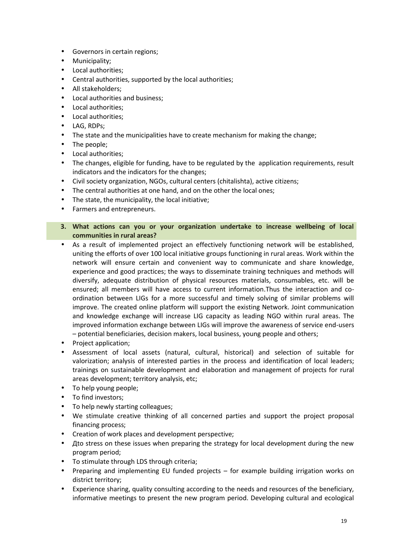- Governors in certain regions;
- Municipality;
- Local authorities;
- Central authorities, supported by the local authorities;
- All stakeholders;
- Local authorities and business;
- Local authorities:
- Local authorities;
- LAG, RDPs;
- The state and the municipalities have to create mechanism for making the change;
- The people;
- Local authorities;
- The changes, eligible for funding, have to be regulated by the application requirements, result indicators and the indicators for the changes;
- Civil society organization, NGOs, cultural centers (chitalishta), active citizens;
- The central authorities at one hand, and on the other the local ones;
- The state, the municipality, the local initiative:
- Farmers and entrepreneurs.
- **3. What actions can you or your organization undertake to increase wellbeing of local communities in rural areas?**
- As a result of implemented project an effectively functioning network will be established, uniting the efforts of over 100 local initiative groups functioning in rural areas. Work within the network will ensure certain and convenient way to communicate and share knowledge, experience and good practices; the ways to disseminate training techniques and methods will diversify, adequate distribution of physical resources materials, consumables, etc. will be ensured; all members will have access to current information.Thus the interaction and co ordination between LIGs for a more successful and timely solving of similar problems will improve. The created online platform will support the existing Network. Joint communication and knowledge exchange will increase LIG capacity as leading NGO within rural areas. The improved information exchange between LIGs will improve the awareness of service end-users – potential beneficiaries, decision makers, local business, young people and others;
- Project application;
- Assessment of local assets (natural, cultural, historical) and selection of suitable for valorization; analysis of interested parties in the process and identification of local leaders; trainings on sustainable development and elaboration and management of projects for rural areas development; territory analysis, etc;
- To help young people;
- To find investors;
- To help newly starting colleagues;
- We stimulate creative thinking of all concerned parties and support the project proposal financing process;
- Creation of work places and development perspective;
- Дto stress on these issues when preparing the strategy for local development during the new program period;
- To stimulate through LDS through criteria;
- Preparing and implementing EU funded projects for example building irrigation works on district territory;
- Experience sharing, quality consulting according to the needs and resources of the beneficiary, informative meetings to present the new program period. Developing cultural and ecological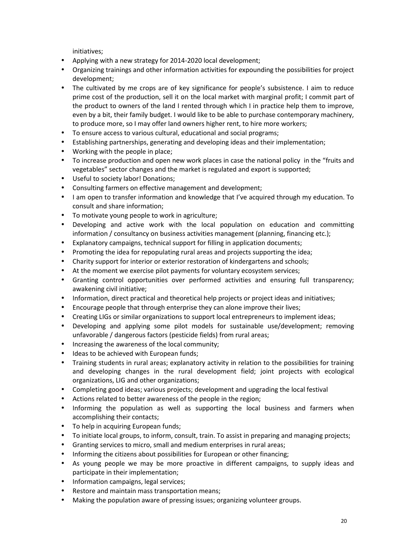initiatives;

- Applying with a new strategy for 2014-2020 local development;
- Organizing trainings and other information activities for expounding the possibilities for project development;
- The cultivated by me crops are of key significance for people's subsistence. I aim to reduce prime cost of the production, sell it on the local market with marginal profit; I commit part of the product to owners of the land I rented through which I in practice help them to improve, even by a bit, their family budget. I would like to be able to purchase contemporary machinery, to produce more, so I may offer land owners higher rent, to hire more workers;
- To ensure access to various cultural, educational and social programs;
- Establishing partnerships, generating and developing ideas and their implementation;
- Working with the people in place;
- To increase production and open new work places in case the national policy in the "fruits and vegetables" sector changes and the market is regulated and export is supported;
- Useful to society labor! Donations;
- Consulting farmers on effective management and development;
- I am open to transfer information and knowledge that I've acquired through my education. To consult and share information;
- To motivate young people to work in agriculture;
- Developing and active work with the local population on education and committing information / consultancy on business activities management (planning, financing etc.);
- Explanatory campaigns, technical support for filling in application documents;
- Promoting the idea for repopulating rural areas and projects supporting the idea;
- Charity support for interior or exterior restoration of kindergartens and schools;
- At the moment we exercise pilot payments for voluntary ecosystem services;
- Granting control opportunities over performed activities and ensuring full transparency; awakening civil initiative;
- Information, direct practical and theoretical help projects or project ideas and initiatives;
- Encourage people that through enterprise they can alone improve their lives;
- Creating LIGs or similar organizations to support local entrepreneurs to implement ideas;
- Developing and applying some pilot models for sustainable use/development; removing unfavorable / dangerous factors (pesticide fields) from rural areas;
- Increasing the awareness of the local community;
- Ideas to be achieved with European funds;
- Training students in rural areas; explanatory activity in relation to the possibilities for training and developing changes in the rural development field; joint projects with ecological organizations, LIG and other organizations;
- Completing good ideas; various projects; development and upgrading the local festival
- Actions related to better awareness of the people in the region;
- Informing the population as well as supporting the local business and farmers when accomplishing their contacts;
- To help in acquiring European funds;
- To initiate local groups, to inform, consult, train. To assist in preparing and managing projects;
- Granting services to micro, small and medium enterprises in rural areas;
- Informing the citizens about possibilities for European or other financing;
- As young people we may be more proactive in different campaigns, to supply ideas and participate in their implementation;
- Information campaigns, legal services;
- Restore and maintain mass transportation means;
- Making the population aware of pressing issues; organizing volunteer groups.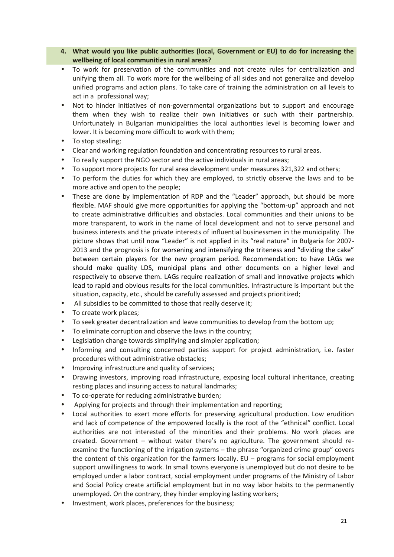#### **4. What would you like public authorities (local, Government or EU) to do for increasing the wellbeing of local communities in rural areas?**

- To work for preservation of the communities and not create rules for centralization and unifying them all. To work more for the wellbeing of all sides and not generalize and develop unified programs and action plans. To take care of training the administration on all levels to act in a professional way;
- Not to hinder initiatives of non-governmental organizations but to support and encourage them when they wish to realize their own initiatives or such with their partnership. Unfortunately in Bulgarian municipalities the local authorities level is becoming lower and lower. It is becoming more difficult to work with them;
- To stop stealing;
- Clear and working regulation foundation and concentrating resources to rural areas.
- To really support the NGO sector and the active individuals in rural areas;
- To support more projects for rural area development under measures 321,322 and others;
- To perform the duties for which they are employed, to strictly observe the laws and to be more active and open to the people;
- These are done by implementation of RDP and the "Leader" approach, but should be more flexible. MAF should give more opportunities for applying the "bottom-up" approach and not to create administrative difficulties and obstacles. Local communities and their unions to be more transparent, to work in the name of local development and not to serve personal and business interests and the private interests of influential businessmen in the municipality. The picture shows that until now "Leader" is not applied in its "real nature" in Bulgaria for 2007- 2013 and the prognosis is for worsening and intensifying the triteness and "dividing the cake" between certain players for the new program period. Recommendation: to have LAGs we should make quality LDS, municipal plans and other documents on a higher level and respectively to observe them. LAGs require realization of small and innovative projects which lead to rapid and obvious results for the local communities. Infrastructure is important but the situation, capacity, etc., should be carefully assessed and projects prioritized;
- All subsidies to be committed to those that really deserve it;
- To create work places;
- To seek greater decentralization and leave communities to develop from the bottom up;
- To eliminate corruption and observe the laws in the country;
- Legislation change towards simplifying and simpler application;
- Informing and consulting concerned parties support for project administration, i.e. faster procedures without administrative obstacles;
- Improving infrastructure and quality of services;
- Drawing investors, improving road infrastructure, exposing local cultural inheritance, creating resting places and insuring access to natural landmarks;
- To co-operate for reducing administrative burden;
- Applying for projects and through their implementation and reporting;
- Local authorities to exert more efforts for preserving agricultural production. Low erudition and lack of competence of the empowered locally is the root of the "ethnical" conflict. Local authorities are not interested of the minorities and their problems. No work places are created. Government – without water there's no agriculture. The government should re examine the functioning of the irrigation systems – the phrase "organized crime group" covers the content of this organization for the farmers locally. EU – programs for social employment support unwillingness to work. In small towns everyone is unemployed but do not desire to be employed under a labor contract, social employment under programs of the Ministry of Labor and Social Policy create artificial employment but in no way labor habits to the permanently unemployed. On the contrary, they hinder employing lasting workers;
- Investment, work places, preferences for the business;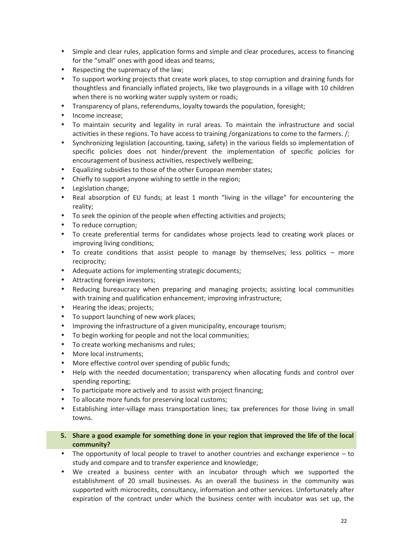- Simple and clear rules, application forms and simple and clear procedures, access to financing for the "small" ones with good ideas and teams;
- Respecting the supremacy of the law;
- To support working projects that create work places, to stop corruption and draining funds for thoughtless and financially inflated projects, like two playgrounds in a village with 10 children when there is no working water supply system or roads;
- Transparency of plans, referendums, loyalty towards the population, foresight;
- Income increase;
- To maintain security and legality in rural areas. To maintain the infrastructure and social activities in these regions. To have access to training /organizations to come to the farmers. /;
- Synchronizing legislation (accounting, taxing, safety) in the various fields so implementation of specific policies does not hinder/prevent the implementation of specific policies for encouragement of business activities, respectively wellbeing;
- Equalizing subsidies to those of the other European member states;
- Chiefly to support anyone wishing to settle in the region;
- Legislation change;
- Real absorption of EU funds; at least 1 month "living in the village" for encountering the reality;
- To seek the opinion of the people when effecting activities and projects;
- To reduce corruption;
- To create preferential terms for candidates whose projects lead to creating work places or improving living conditions;
- To create conditions that assist people to manage by themselves; less politics more reciprocity;
- Adequate actions for implementing strategic documents;
- Attracting foreign investors;
- Reducing bureaucracy when preparing and managing projects; assisting local communities with training and qualification enhancement; improving infrastructure;
- Hearing the ideas; projects;
- To support launching of new work places:
- Improving the infrastructure of a given municipality, encourage tourism;
- To begin working for people and not the local communities;
- To create working mechanisms and rules:
- More local instruments;
- More effective control over spending of public funds;
- Help with the needed documentation; transparency when allocating funds and control over spending reporting;
- To participate more actively and to assist with project financing;
- To allocate more funds for preserving local customs;
- Establishing inter-village mass transportation lines; tax preferences for those living in small towns.
- **5. Share a good example for something done in your region that improved the life of the local community?**
- The opportunity of local people to travel to another countries and exchange experience to study and compare and to transfer experience and knowledge;
- We created a business center with an incubator through which we supported the establishment of 20 small businesses. As an overall the business in the community was supported with microcredits, consultancy, information and other services. Unfortunately after expiration of the contract under which the business center with incubator was set up, the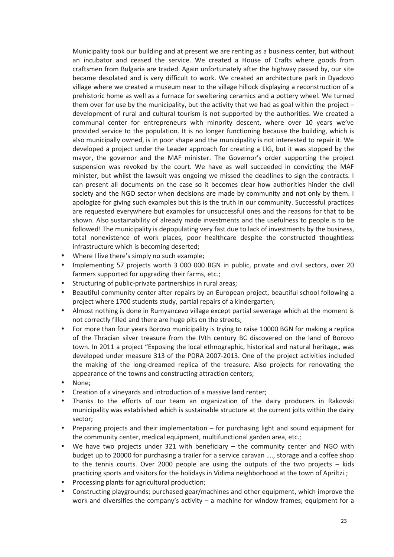Municipality took our building and at present we are renting as a business center, but without an incubator and ceased the service. We created a House of Crafts where goods from craftsmen from Bulgaria are traded. Again unfortunately after the highway passed by, our site became desolated and is very difficult to work. We created an architecture park in Dyadovo village where we created a museum near to the village hillock displaying a reconstruction of a prehistoric home as well as a furnace for sweltering ceramics and a pottery wheel. We turned them over for use by the municipality, but the activity that we had as goal within the project – development of rural and cultural tourism is not supported by the authorities. We created a communal center for entrepreneurs with minority descent, where over 10 years we've provided service to the population. It is no longer functioning because the building, which is also municipally owned, is in poor shape and the municipality is not interested to repair it. We developed a project under the Leader approach for creating a LIG, but it was stopped by the mayor, the governor and the MAF minister. The Governor's order supporting the project suspension was revoked by the court. We have as well succeeded in convicting the MAF minister, but whilst the lawsuit was ongoing we missed the deadlines to sign the contracts. I can present all documents on the case so it becomes clear how authorities hinder the civil society and the NGO sector when decisions are made by community and not only by them. I apologize for giving such examples but this is the truth in our community. Successful practices are requested everywhere but examples for unsuccessful ones and the reasons for that to be shown. Also sustainability of already made investments and the usefulness to people is to be followed! The municipality is depopulating very fast due to lack of investments by the business, total nonexistence of work places, poor healthcare despite the constructed thoughtless infrastructure which is becoming deserted;

- Where I live there's simply no such example;
- Implementing 57 projects worth 3 000 000 BGN in public, private and civil sectors, over 20 farmers supported for upgrading their farms, etc.;
- Structuring of public-private partnerships in rural areas;
- Beautiful community center after repairs by an European project, beautiful school following a project where 1700 students study, partial repairs of a kindergarten;
- Almost nothing is done in Rumyancevo village except partial sewerage which at the moment is not correctly filled and there are huge pits on the streets;
- For more than four years Borovo municipality is trying to raise 10000 BGN for making a replica of the Thracian silver treasure from the IVth century BC discovered on the land of Borovo town. In 2011 a project "Exposing the local ethnographic, historical and natural heritage, was developed under measure 313 of the PDRA 2007-2013. One of the project activities included the making of the long-dreamed replica of the treasure. Also projects for renovating the appearance of the towns and constructing attraction centers;
- None;
- Creation of a vineyards and introduction of a massive land renter;
- Thanks to the efforts of our team an organization of the dairy producers in Rakovski municipality was established which is sustainable structure at the current jolts within the dairy sector;
- Preparing projects and their implementation for purchasing light and sound equipment for the community center, medical equipment, multifunctional garden area, etc.;
- We have two projects under 321 with beneficiary the community center and NGO with budget up to 20000 for purchasing a trailer for a service caravan …., storage and a coffee shop to the tennis courts. Over 2000 people are using the outputs of the two projects – kids practicing sports and visitors for the holidays in Vidima neighborhood at the town of Apriltzi.;
- Processing plants for agricultural production;
- Constructing playgrounds; purchased gear/machines and other equipment, which improve the work and diversifies the company's activity  $-$  a machine for window frames; equipment for a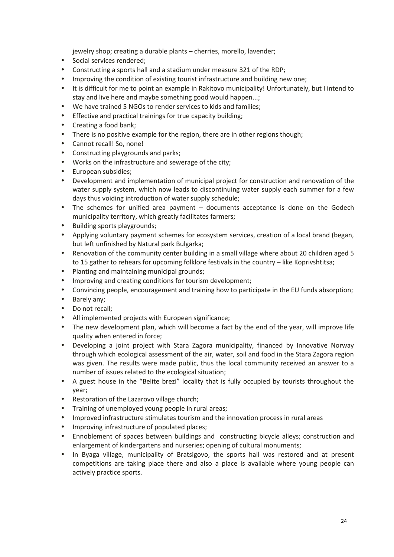jewelry shop; creating a durable plants – cherries, morello, lavender;

- Social services rendered;
- Constructing a sports hall and a stadium under measure 321 of the RDP;
- Improving the condition of existing tourist infrastructure and building new one;
- It is difficult for me to point an example in Rakitovo municipality! Unfortunately, but I intend to stay and live here and maybe something good would happen...;
- We have trained 5 NGOs to render services to kids and families;
- Effective and practical trainings for true capacity building;
- Creating a food bank;
- There is no positive example for the region, there are in other regions though;
- Cannot recall! So, none!
- Constructing playgrounds and parks;
- Works on the infrastructure and sewerage of the city;
- European subsidies:
- Development and implementation of municipal project for construction and renovation of the water supply system, which now leads to discontinuing water supply each summer for a few days thus voiding introduction of water supply schedule;
- The schemes for unified area payment documents acceptance is done on the Godech municipality territory, which greatly facilitates farmers;
- Building sports playgrounds;
- Applying voluntary payment schemes for ecosystem services, creation of a local brand (began, but left unfinished by Natural park Bulgarka;
- Renovation of the community center building in a small village where about 20 children aged 5 to 15 gather to rehears for upcoming folklore festivals in the country – like Koprivshtitsa;
- Planting and maintaining municipal grounds;
- Improving and creating conditions for tourism development;
- Convincing people, encouragement and training how to participate in the EU funds absorption;
- Barely any;
- Do not recall:
- All implemented projects with European significance;
- The new development plan, which will become a fact by the end of the year, will improve life quality when entered in force;
- Developing a joint project with Stara Zagora municipality, financed by Innovative Norway through which ecological assessment of the air, water, soil and food in the Stara Zagora region was given. The results were made public, thus the local community received an answer to a number of issues related to the ecological situation;
- A guest house in the "Belite brezi" locality that is fully occupied by tourists throughout the year;
- Restoration of the Lazarovo village church;
- Training of unemployed young people in rural areas;
- Improved infrastructure stimulates tourism and the innovation process in rural areas
- Improving infrastructure of populated places;
- Ennoblement of spaces between buildings and constructing bicycle alleys; construction and enlargement of kindergartens and nurseries; opening of cultural monuments;
- In Byaga village, municipality of Bratsigovo, the sports hall was restored and at present competitions are taking place there and also a place is available where young people can actively practice sports.